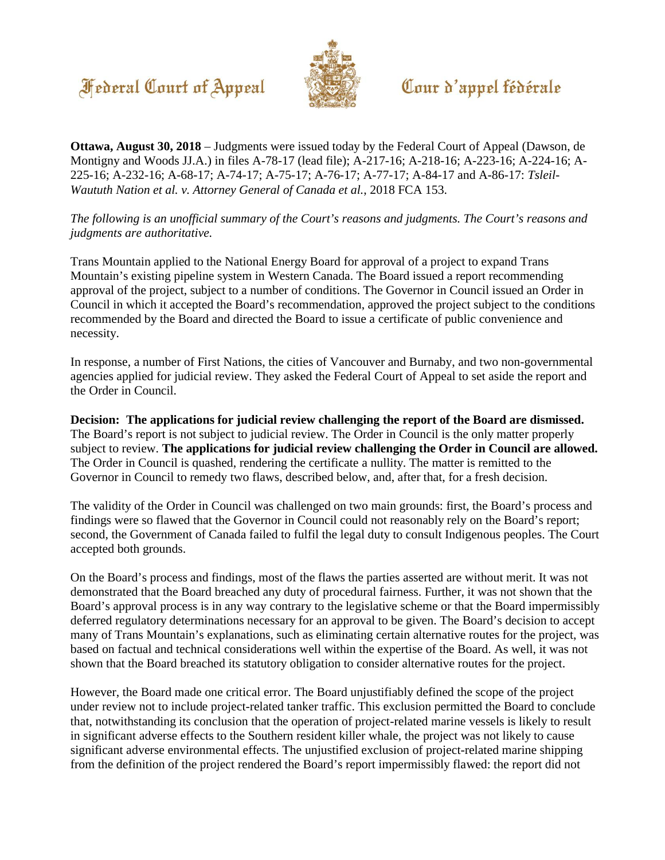## **Federal Court of Appeal**



## Cour d'appel fédérale

**Ottawa, August 30, 2018** – Judgments were issued today by the Federal Court of Appeal (Dawson, de Montigny and Woods JJ.A.) in files A-78-17 (lead file); A-217-16; A-218-16; A-223-16; A-224-16; A-225-16; A-232-16; A-68-17; A-74-17; A-75-17; A-76-17; A-77-17; A-84-17 and A-86-17: *Tsleil-Waututh Nation et al. v. Attorney General of Canada et al.*, 2018 FCA 153.

*The following is an unofficial summary of the Court's reasons and judgments. The Court's reasons and judgments are authoritative.* 

Trans Mountain applied to the National Energy Board for approval of a project to expand Trans Mountain's existing pipeline system in Western Canada. The Board issued a report recommending approval of the project, subject to a number of conditions. The Governor in Council issued an Order in Council in which it accepted the Board's recommendation, approved the project subject to the conditions recommended by the Board and directed the Board to issue a certificate of public convenience and necessity.

In response, a number of First Nations, the cities of Vancouver and Burnaby, and two non-governmental agencies applied for judicial review. They asked the Federal Court of Appeal to set aside the report and the Order in Council.

**Decision: The applications for judicial review challenging the report of the Board are dismissed.**  The Board's report is not subject to judicial review. The Order in Council is the only matter properly subject to review. **The applications for judicial review challenging the Order in Council are allowed.**  The Order in Council is quashed, rendering the certificate a nullity. The matter is remitted to the Governor in Council to remedy two flaws, described below, and, after that, for a fresh decision.

The validity of the Order in Council was challenged on two main grounds: first, the Board's process and findings were so flawed that the Governor in Council could not reasonably rely on the Board's report; second, the Government of Canada failed to fulfil the legal duty to consult Indigenous peoples. The Court accepted both grounds.

On the Board's process and findings, most of the flaws the parties asserted are without merit. It was not demonstrated that the Board breached any duty of procedural fairness. Further, it was not shown that the Board's approval process is in any way contrary to the legislative scheme or that the Board impermissibly deferred regulatory determinations necessary for an approval to be given. The Board's decision to accept many of Trans Mountain's explanations, such as eliminating certain alternative routes for the project, was based on factual and technical considerations well within the expertise of the Board. As well, it was not shown that the Board breached its statutory obligation to consider alternative routes for the project.

However, the Board made one critical error. The Board unjustifiably defined the scope of the project under review not to include project-related tanker traffic. This exclusion permitted the Board to conclude that, notwithstanding its conclusion that the operation of project-related marine vessels is likely to result in significant adverse effects to the Southern resident killer whale, the project was not likely to cause significant adverse environmental effects. The unjustified exclusion of project-related marine shipping from the definition of the project rendered the Board's report impermissibly flawed: the report did not